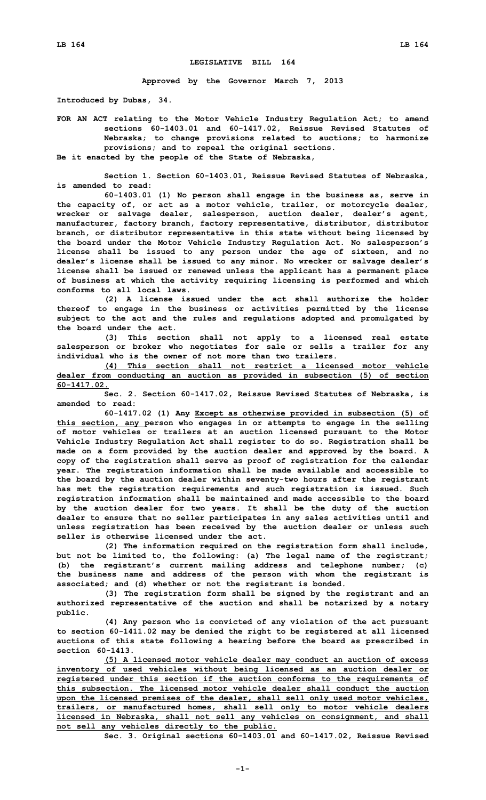## **LEGISLATIVE BILL 164**

**Approved by the Governor March 7, 2013**

**Introduced by Dubas, 34.**

**FOR AN ACT relating to the Motor Vehicle Industry Regulation Act; to amend sections 60-1403.01 and 60-1417.02, Reissue Revised Statutes of Nebraska; to change provisions related to auctions; to harmonize provisions; and to repeal the original sections. Be it enacted by the people of the State of Nebraska,**

**Section 1. Section 60-1403.01, Reissue Revised Statutes of Nebraska, is amended to read:**

**60-1403.01 (1) No person shall engage in the business as, serve in the capacity of, or act as <sup>a</sup> motor vehicle, trailer, or motorcycle dealer, wrecker or salvage dealer, salesperson, auction dealer, dealer's agent, manufacturer, factory branch, factory representative, distributor, distributor branch, or distributor representative in this state without being licensed by the board under the Motor Vehicle Industry Regulation Act. No salesperson's license shall be issued to any person under the age of sixteen, and no dealer's license shall be issued to any minor. No wrecker or salvage dealer's license shall be issued or renewed unless the applicant has <sup>a</sup> permanent place of business at which the activity requiring licensing is performed and which conforms to all local laws.**

**(2) A license issued under the act shall authorize the holder thereof to engage in the business or activities permitted by the license subject to the act and the rules and regulations adopted and promulgated by the board under the act.**

**(3) This section shall not apply to <sup>a</sup> licensed real estate salesperson or broker who negotiates for sale or sells <sup>a</sup> trailer for any individual who is the owner of not more than two trailers.**

**(4) This section shall not restrict <sup>a</sup> licensed motor vehicle dealer from conducting an auction as provided in subsection (5) of section 60-1417.02.**

**Sec. 2. Section 60-1417.02, Reissue Revised Statutes of Nebraska, is amended to read:**

**60-1417.02 (1) Any Except as otherwise provided in subsection (5) of this section, any person who engages in or attempts to engage in the selling of motor vehicles or trailers at an auction licensed pursuant to the Motor Vehicle Industry Regulation Act shall register to do so. Registration shall be made on <sup>a</sup> form provided by the auction dealer and approved by the board. A copy of the registration shall serve as proof of registration for the calendar year. The registration information shall be made available and accessible to the board by the auction dealer within seventy-two hours after the registrant has met the registration requirements and such registration is issued. Such registration information shall be maintained and made accessible to the board by the auction dealer for two years. It shall be the duty of the auction dealer to ensure that no seller participates in any sales activities until and unless registration has been received by the auction dealer or unless such seller is otherwise licensed under the act.**

**(2) The information required on the registration form shall include, but not be limited to, the following: (a) The legal name of the registrant; (b) the registrant's current mailing address and telephone number; (c) the business name and address of the person with whom the registrant is associated; and (d) whether or not the registrant is bonded.**

**(3) The registration form shall be signed by the registrant and an authorized representative of the auction and shall be notarized by <sup>a</sup> notary public.**

**(4) Any person who is convicted of any violation of the act pursuant to section 60-1411.02 may be denied the right to be registered at all licensed auctions of this state following <sup>a</sup> hearing before the board as prescribed in section 60-1413.**

**(5) <sup>A</sup> licensed motor vehicle dealer may conduct an auction of excess inventory of used vehicles without being licensed as an auction dealer or registered under this section if the auction conforms to the requirements of this subsection. The licensed motor vehicle dealer shall conduct the auction upon the licensed premises of the dealer, shall sell only used motor vehicles, trailers, or manufactured homes, shall sell only to motor vehicle dealers licensed in Nebraska, shall not sell any vehicles on consignment, and shall not sell any vehicles directly to the public.**

**Sec. 3. Original sections 60-1403.01 and 60-1417.02, Reissue Revised**